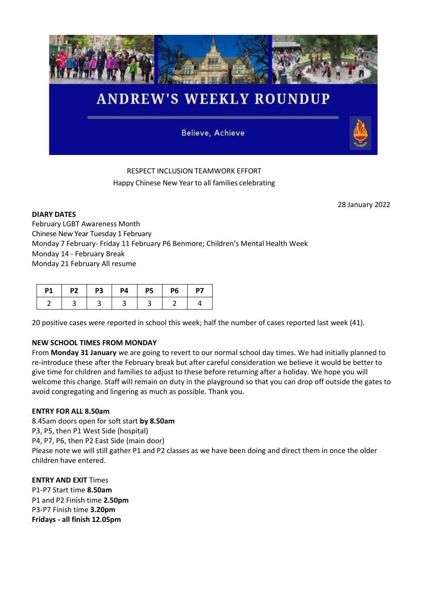

# RESPECT INCLUSION TEAMWORK EFFORT Happy Chinese New Year to all families celebrating

28 January 2022

**DIARY DATES** February LGBT Awareness Month Chinese New Year Tuesday 1 February Monday 7 February- Friday 11 February P6 Benmore; Children's Mental Health Week Monday 14 - February Break Monday 21 February All resume

| <b>P1</b> | <b>P2</b> | <b>P3</b> | <b>P4</b> | <b>P5</b> | <b>P6</b> | P7 |
|-----------|-----------|-----------|-----------|-----------|-----------|----|
|           |           |           |           |           |           |    |

20 positive cases were reported in school this week; half the number of cases reported last week (41).

## **NEW SCHOOL TIMES FROM MONDAY**

From **Monday 31 January** we are going to revert to our normal school day times. We had initially planned to re-introduce these after the February break but after careful consideration we believe it would be better to give time for children and families to adjust to these before returning after a holiday. We hope you will welcome this change. Staff will remain on duty in the playground so that you can drop off outside the gates to avoid congregating and lingering as much as possible. Thank you.

### **ENTRY FOR ALL 8.50am**

8.45am doors open for soft start **by 8.50am** P3, P5, then P1 West Side (hospital) P4, P7, P6, then P2 East Side (main door) Please note we will still gather P1 and P2 classes as we have been doing and direct them in once the older children have entered.

**ENTRY AND EXIT** Times P1-P7 Start time **8.50am** P1 and P2 Finish time **2.50pm** P3-P7 Finish time **3.20pm Fridays - all finish 12.05pm**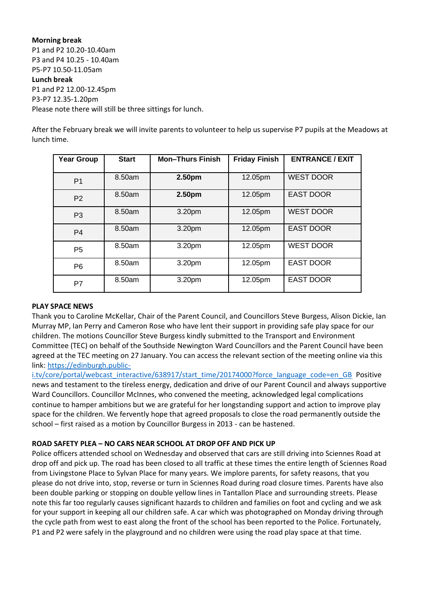**Morning break** P1 and P2 10.20-10.40am P3 and P4 10.25 - 10.40am P5-P7 10.50-11.05am **Lunch break** P1 and P2 12.00-12.45pm P3-P7 12.35-1.20pm Please note there will still be three sittings for lunch.

After the February break we will invite parents to volunteer to help us supervise P7 pupils at the Meadows at lunch time.

| <b>Year Group</b> | <b>Start</b> | <b>Mon-Thurs Finish</b> | <b>Friday Finish</b> | <b>ENTRANCE / EXIT</b> |
|-------------------|--------------|-------------------------|----------------------|------------------------|
| P <sub>1</sub>    | 8.50am       | 2.50 <sub>pm</sub>      | 12.05pm              | <b>WEST DOOR</b>       |
| P <sub>2</sub>    | 8.50am       | 2.50pm                  | 12.05pm              | <b>EAST DOOR</b>       |
| P <sub>3</sub>    | 8.50am       | 3.20pm                  | 12.05pm              | <b>WEST DOOR</b>       |
| P <sub>4</sub>    | 8.50am       | 3.20pm                  | 12.05pm              | <b>EAST DOOR</b>       |
| P <sub>5</sub>    | 8.50am       | 3.20pm                  | 12.05pm              | <b>WEST DOOR</b>       |
| P <sub>6</sub>    | 8.50am       | 3.20pm                  | 12.05pm              | <b>EAST DOOR</b>       |
| P7                | 8.50am       | 3.20pm                  | 12.05pm              | <b>EAST DOOR</b>       |

### **PLAY SPACE NEWS**

Thank you to Caroline McKellar, Chair of the Parent Council, and Councillors Steve Burgess, Alison Dickie, Ian Murray MP, Ian Perry and Cameron Rose who have lent their support in providing safe play space for our children. The motions Councillor Steve Burgess kindly submitted to the Transport and Environment Committee (TEC) on behalf of the Southside Newington Ward Councillors and the Parent Council have been agreed at the TEC meeting on 27 January. You can access the relevant section of the meeting online via this link: [https://edinburgh.public-](https://edinburgh.public-i.tv/core/portal/webcast_interactive/638917/start_time/20174000?force_language_code=en_GB)

[i.tv/core/portal/webcast\\_interactive/638917/start\\_time/20174000?force\\_language\\_code=en\\_GB](https://edinburgh.public-i.tv/core/portal/webcast_interactive/638917/start_time/20174000?force_language_code=en_GB)\_Positive news and testament to the tireless energy, dedication and drive of our Parent Council and always supportive Ward Councillors. Councillor McInnes, who convened the meeting, acknowledged legal complications continue to hamper ambitions but we are grateful for her longstanding support and action to improve play space for the children. We fervently hope that agreed proposals to close the road permanently outside the school – first raised as a motion by Councillor Burgess in 2013 - can be hastened.

## **ROAD SAFETY PLEA – NO CARS NEAR SCHOOL AT DROP OFF AND PICK UP**

Police officers attended school on Wednesday and observed that cars are still driving into Sciennes Road at drop off and pick up. The road has been closed to all traffic at these times the entire length of Sciennes Road from Livingstone Place to Sylvan Place for many years. We implore parents, for safety reasons, that you please do not drive into, stop, reverse or turn in Sciennes Road during road closure times. Parents have also been double parking or stopping on double yellow lines in Tantallon Place and surrounding streets. Please note this far too regularly causes significant hazards to children and families on foot and cycling and we ask for your support in keeping all our children safe. A car which was photographed on Monday driving through the cycle path from west to east along the front of the school has been reported to the Police. Fortunately, P1 and P2 were safely in the playground and no children were using the road play space at that time.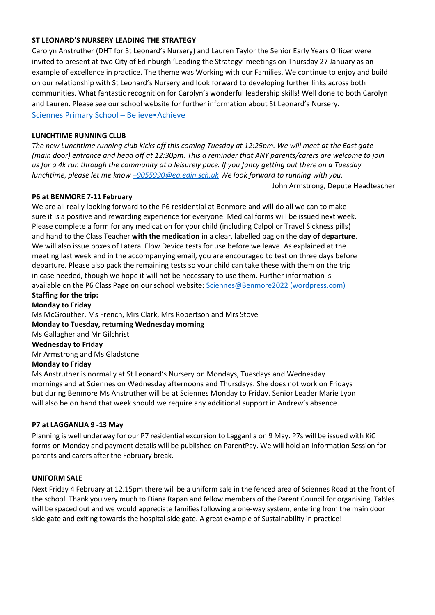### **ST LEONARD'S NURSERY LEADING THE STRATEGY**

Carolyn Anstruther (DHT for St Leonard's Nursery) and Lauren Taylor the Senior Early Years Officer were invited to present at two City of Edinburgh 'Leading the Strategy' meetings on Thursday 27 January as an example of excellence in practice. The theme was Working with our Families. We continue to enjoy and build on our relationship with St Leonard's Nursery and look forward to developing further links across both communities. What fantastic recognition for Carolyn's wonderful leadership skills! Well done to both Carolyn and Lauren. Please see our school website for further information about St Leonard's Nursery. [Sciennes Primary School](https://sciennesprimaryschool.com/) – Believe•Achieve

### **LUNCHTIME RUNNING CLUB**

*The new Lunchtime running club kicks off this coming Tuesday at 12:25pm. We will meet at the East gate (main door) entrance and head off at 12:30pm. This a reminder that ANY parents/carers are welcome to join us for a 4k run through the community at a leisurely pace. If you fancy getting out there on a Tuesday lunchtime, please let me know –[9055990@ea.edin.sch.uk](mailto:–9055990@ea.edin.sch.uk) We look forward to running with you.*

John Armstrong, Depute Headteacher

### **P6 at BENMORE 7-11 February**

We are all really looking forward to the P6 residential at Benmore and will do all we can to make sure it is a positive and rewarding experience for everyone. Medical forms will be issued next week. Please complete a form for any medication for your child (including Calpol or Travel Sickness pills) and hand to the Class Teacher **with the medication** in a clear, labelled bag on the **day of departure**. We will also issue boxes of Lateral Flow Device tests for use before we leave. As explained at the meeting last week and in the accompanying email, you are encouraged to test on three days before departure. Please also pack the remaining tests so your child can take these with them on the trip in case needed, though we hope it will not be necessary to use them. Further information is available on the P6 Class Page on our school website: [Sciennes@Benmore2022 \(wordpress.com\)](https://sciennesbenmore2022.wordpress.com/)

# **Staffing for the trip:**

**Monday to Friday** Ms McGrouther, Ms French, Mrs Clark, Mrs Robertson and Mrs Stove **Monday to Tuesday, returning Wednesday morning**  Ms Gallagher and Mr Gilchrist **Wednesday to Friday** Mr Armstrong and Ms Gladstone **Monday to Friday**

Ms Anstruther is normally at St Leonard's Nursery on Mondays, Tuesdays and Wednesday mornings and at Sciennes on Wednesday afternoons and Thursdays. She does not work on Fridays but during Benmore Ms Anstruther will be at Sciennes Monday to Friday. Senior Leader Marie Lyon will also be on hand that week should we require any additional support in Andrew's absence.

## **P7 at LAGGANLIA 9 -13 May**

Planning is well underway for our P7 residential excursion to Lagganlia on 9 May. P7s will be issued with KiC forms on Monday and payment details will be published on ParentPay. We will hold an Information Session for parents and carers after the February break.

### **UNIFORM SALE**

Next Friday 4 February at 12.15pm there will be a uniform sale in the fenced area of Sciennes Road at the front of the school. Thank you very much to Diana Rapan and fellow members of the Parent Council for organising. Tables will be spaced out and we would appreciate families following a one-way system, entering from the main door side gate and exiting towards the hospital side gate. A great example of Sustainability in practice!